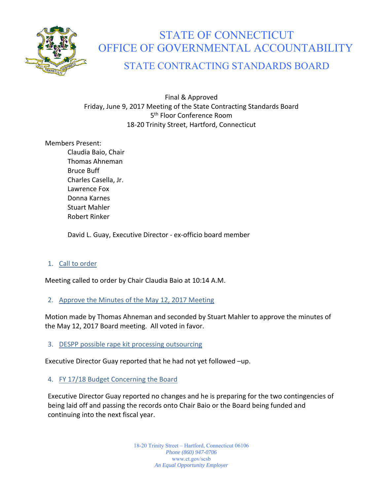

# STATE OF CONNECTICUT OFFICE OF GOVERNMENTAL ACCOUNTABILITY

# STATE CONTRACTING STANDARDS BOARD

Final & Approved Friday, June 9, 2017 Meeting of the State Contracting Standards Board 5<sup>th</sup> Floor Conference Room 18‐20 Trinity Street, Hartford, Connecticut

Members Present:

Claudia Baio, Chair Thomas Ahneman Bruce Buff Charles Casella, Jr. Lawrence Fox Donna Karnes Stuart Mahler Robert Rinker

David L. Guay, Executive Director ‐ ex‐officio board member

# 1. Call to order

Meeting called to order by Chair Claudia Baio at 10:14 A.M.

## 2. Approve the Minutes of the May 12, 2017 Meeting

Motion made by Thomas Ahneman and seconded by Stuart Mahler to approve the minutes of the May 12, 2017 Board meeting. All voted in favor.

## 3. DESPP possible rape kit processing outsourcing

Executive Director Guay reported that he had not yet followed –up.

# 4. FY 17/18 Budget Concerning the Board

Executive Director Guay reported no changes and he is preparing for the two contingencies of being laid off and passing the records onto Chair Baio or the Board being funded and continuing into the next fiscal year.

> 18-20 Trinity Street – Hartford, Connecticut 06106 *Phone (860) 947-0706*  www.ct.gov/scsb *An Equal Opportunity Employer*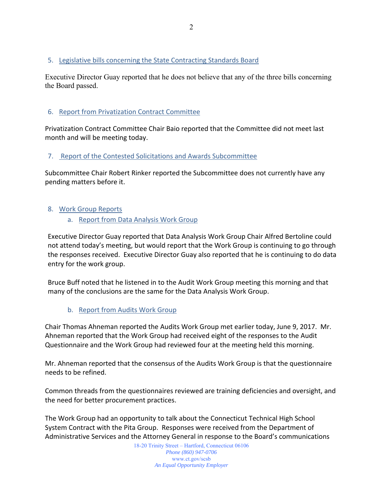# 5. Legislative bills concerning the State Contracting Standards Board

Executive Director Guay reported that he does not believe that any of the three bills concerning the Board passed.

# 6. Report from Privatization Contract Committee

Privatization Contract Committee Chair Baio reported that the Committee did not meet last month and will be meeting today.

## 7. Report of the Contested Solicitations and Awards Subcommittee

Subcommittee Chair Robert Rinker reported the Subcommittee does not currently have any pending matters before it.

# 8. Work Group Reports

a. Report from Data Analysis Work Group

Executive Director Guay reported that Data Analysis Work Group Chair Alfred Bertoline could not attend today's meeting, but would report that the Work Group is continuing to go through the responses received. Executive Director Guay also reported that he is continuing to do data entry for the work group.

Bruce Buff noted that he listened in to the Audit Work Group meeting this morning and that many of the conclusions are the same for the Data Analysis Work Group.

b. Report from Audits Work Group

Chair Thomas Ahneman reported the Audits Work Group met earlier today, June 9, 2017. Mr. Ahneman reported that the Work Group had received eight of the responses to the Audit Questionnaire and the Work Group had reviewed four at the meeting held this morning.

Mr. Ahneman reported that the consensus of the Audits Work Group is that the questionnaire needs to be refined.

Common threads from the questionnaires reviewed are training deficiencies and oversight, and the need for better procurement practices.

The Work Group had an opportunity to talk about the Connecticut Technical High School System Contract with the Pita Group. Responses were received from the Department of Administrative Services and the Attorney General in response to the Board's communications

> 18-20 Trinity Street – Hartford, Connecticut 06106 *Phone (860) 947-0706*  www.ct.gov/scsb *An Equal Opportunity Employer*